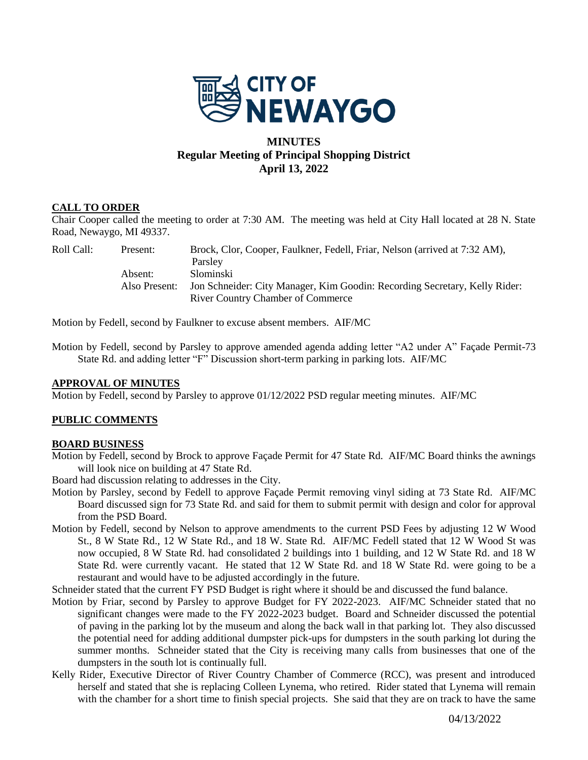

# **MINUTES Regular Meeting of Principal Shopping District April 13, 2022**

# **CALL TO ORDER**

Chair Cooper called the meeting to order at 7:30 AM. The meeting was held at City Hall located at 28 N. State Road, Newaygo, MI 49337.

| Roll Call: - | Present:      | Brock, Clor, Cooper, Faulkner, Fedell, Friar, Nelson (arrived at 7:32 AM), |
|--------------|---------------|----------------------------------------------------------------------------|
|              |               | Parsley                                                                    |
|              | Absent:       | <b>Slominski</b>                                                           |
|              | Also Present: | Jon Schneider: City Manager, Kim Goodin: Recording Secretary, Kelly Rider: |
|              |               | <b>River Country Chamber of Commerce</b>                                   |

Motion by Fedell, second by Faulkner to excuse absent members. AIF/MC

Motion by Fedell, second by Parsley to approve amended agenda adding letter "A2 under A" Façade Permit-73 State Rd. and adding letter "F" Discussion short-term parking in parking lots. AIF/MC

### **APPROVAL OF MINUTES**

Motion by Fedell, second by Parsley to approve 01/12/2022 PSD regular meeting minutes. AIF/MC

# **PUBLIC COMMENTS**

### **BOARD BUSINESS**

Motion by Fedell, second by Brock to approve Façade Permit for 47 State Rd. AIF/MC Board thinks the awnings will look nice on building at 47 State Rd.

Board had discussion relating to addresses in the City.

- Motion by Parsley, second by Fedell to approve Façade Permit removing vinyl siding at 73 State Rd. AIF/MC Board discussed sign for 73 State Rd. and said for them to submit permit with design and color for approval from the PSD Board.
- Motion by Fedell, second by Nelson to approve amendments to the current PSD Fees by adjusting 12 W Wood St., 8 W State Rd., 12 W State Rd., and 18 W. State Rd. AIF/MC Fedell stated that 12 W Wood St was now occupied, 8 W State Rd. had consolidated 2 buildings into 1 building, and 12 W State Rd. and 18 W State Rd. were currently vacant. He stated that 12 W State Rd. and 18 W State Rd. were going to be a restaurant and would have to be adjusted accordingly in the future.
- Schneider stated that the current FY PSD Budget is right where it should be and discussed the fund balance.
- Motion by Friar, second by Parsley to approve Budget for FY 2022-2023. AIF/MC Schneider stated that no significant changes were made to the FY 2022-2023 budget. Board and Schneider discussed the potential of paving in the parking lot by the museum and along the back wall in that parking lot. They also discussed the potential need for adding additional dumpster pick-ups for dumpsters in the south parking lot during the summer months. Schneider stated that the City is receiving many calls from businesses that one of the dumpsters in the south lot is continually full.
- Kelly Rider, Executive Director of River Country Chamber of Commerce (RCC), was present and introduced herself and stated that she is replacing Colleen Lynema, who retired. Rider stated that Lynema will remain with the chamber for a short time to finish special projects. She said that they are on track to have the same